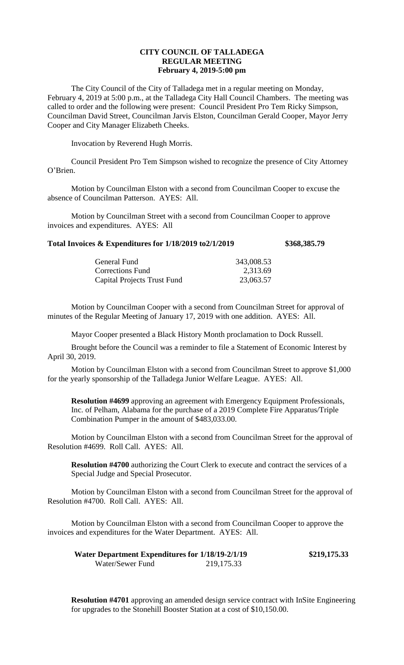## **CITY COUNCIL OF TALLADEGA REGULAR MEETING February 4, 2019-5:00 pm**

The City Council of the City of Talladega met in a regular meeting on Monday, February 4, 2019 at 5:00 p.m., at the Talladega City Hall Council Chambers. The meeting was called to order and the following were present: Council President Pro Tem Ricky Simpson, Councilman David Street, Councilman Jarvis Elston, Councilman Gerald Cooper, Mayor Jerry Cooper and City Manager Elizabeth Cheeks.

Invocation by Reverend Hugh Morris.

Council President Pro Tem Simpson wished to recognize the presence of City Attorney O'Brien.

Motion by Councilman Elston with a second from Councilman Cooper to excuse the absence of Councilman Patterson. AYES: All.

Motion by Councilman Street with a second from Councilman Cooper to approve invoices and expenditures. AYES: All

## **Total Invoices & Expenditures for 1/18/2019 to2/1/2019 \$368,385.79**

| 343,008.53 |
|------------|
| 2,313.69   |
| 23,063.57  |
|            |

Motion by Councilman Cooper with a second from Councilman Street for approval of minutes of the Regular Meeting of January 17, 2019 with one addition. AYES: All.

Mayor Cooper presented a Black History Month proclamation to Dock Russell.

Brought before the Council was a reminder to file a Statement of Economic Interest by April 30, 2019.

Motion by Councilman Elston with a second from Councilman Street to approve \$1,000 for the yearly sponsorship of the Talladega Junior Welfare League. AYES: All.

**Resolution #4699** approving an agreement with Emergency Equipment Professionals, Inc. of Pelham, Alabama for the purchase of a 2019 Complete Fire Apparatus/Triple Combination Pumper in the amount of \$483,033.00.

Motion by Councilman Elston with a second from Councilman Street for the approval of Resolution #4699. Roll Call. AYES: All.

**Resolution #4700** authorizing the Court Clerk to execute and contract the services of a Special Judge and Special Prosecutor.

Motion by Councilman Elston with a second from Councilman Street for the approval of Resolution #4700. Roll Call. AYES: All.

Motion by Councilman Elston with a second from Councilman Cooper to approve the invoices and expenditures for the Water Department. AYES: All.

| <b>Water Department Expenditures for 1/18/19-2/1/19</b> |             | \$219,175.33 |
|---------------------------------------------------------|-------------|--------------|
| Water/Sewer Fund                                        | 219, 175.33 |              |

**Resolution #4701** approving an amended design service contract with InSite Engineering for upgrades to the Stonehill Booster Station at a cost of \$10,150.00.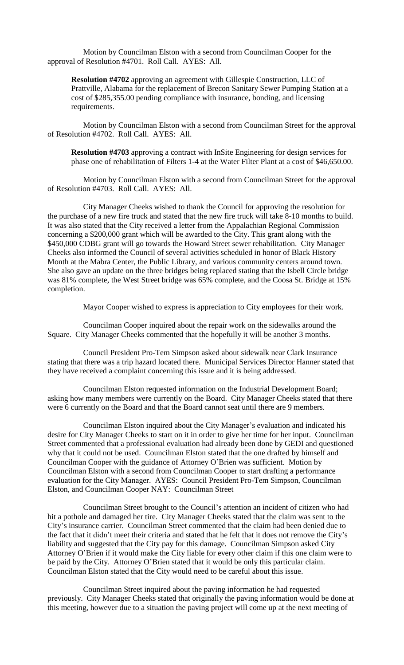Motion by Councilman Elston with a second from Councilman Cooper for the approval of Resolution #4701. Roll Call. AYES: All.

**Resolution #4702** approving an agreement with Gillespie Construction, LLC of Prattville, Alabama for the replacement of Brecon Sanitary Sewer Pumping Station at a cost of \$285,355.00 pending compliance with insurance, bonding, and licensing requirements.

Motion by Councilman Elston with a second from Councilman Street for the approval of Resolution #4702. Roll Call. AYES: All.

**Resolution #4703** approving a contract with InSite Engineering for design services for phase one of rehabilitation of Filters 1-4 at the Water Filter Plant at a cost of \$46,650.00.

Motion by Councilman Elston with a second from Councilman Street for the approval of Resolution #4703. Roll Call. AYES: All.

City Manager Cheeks wished to thank the Council for approving the resolution for the purchase of a new fire truck and stated that the new fire truck will take 8-10 months to build. It was also stated that the City received a letter from the Appalachian Regional Commission concerning a \$200,000 grant which will be awarded to the City. This grant along with the \$450,000 CDBG grant will go towards the Howard Street sewer rehabilitation. City Manager Cheeks also informed the Council of several activities scheduled in honor of Black History Month at the Mabra Center, the Public Library, and various community centers around town. She also gave an update on the three bridges being replaced stating that the Isbell Circle bridge was 81% complete, the West Street bridge was 65% complete, and the Coosa St. Bridge at 15% completion.

Mayor Cooper wished to express is appreciation to City employees for their work.

Councilman Cooper inquired about the repair work on the sidewalks around the Square. City Manager Cheeks commented that the hopefully it will be another 3 months.

Council President Pro-Tem Simpson asked about sidewalk near Clark Insurance stating that there was a trip hazard located there. Municipal Services Director Hanner stated that they have received a complaint concerning this issue and it is being addressed.

Councilman Elston requested information on the Industrial Development Board; asking how many members were currently on the Board. City Manager Cheeks stated that there were 6 currently on the Board and that the Board cannot seat until there are 9 members.

Councilman Elston inquired about the City Manager's evaluation and indicated his desire for City Manager Cheeks to start on it in order to give her time for her input. Councilman Street commented that a professional evaluation had already been done by GEDI and questioned why that it could not be used. Councilman Elston stated that the one drafted by himself and Councilman Cooper with the guidance of Attorney O'Brien was sufficient. Motion by Councilman Elston with a second from Councilman Cooper to start drafting a performance evaluation for the City Manager. AYES: Council President Pro-Tem Simpson, Councilman Elston, and Councilman Cooper NAY: Councilman Street

Councilman Street brought to the Council's attention an incident of citizen who had hit a pothole and damaged her tire. City Manager Cheeks stated that the claim was sent to the City's insurance carrier. Councilman Street commented that the claim had been denied due to the fact that it didn't meet their criteria and stated that he felt that it does not remove the City's liability and suggested that the City pay for this damage. Councilman Simpson asked City Attorney O'Brien if it would make the City liable for every other claim if this one claim were to be paid by the City. Attorney O'Brien stated that it would be only this particular claim. Councilman Elston stated that the City would need to be careful about this issue.

Councilman Street inquired about the paving information he had requested previously. City Manager Cheeks stated that originally the paving information would be done at this meeting, however due to a situation the paving project will come up at the next meeting of